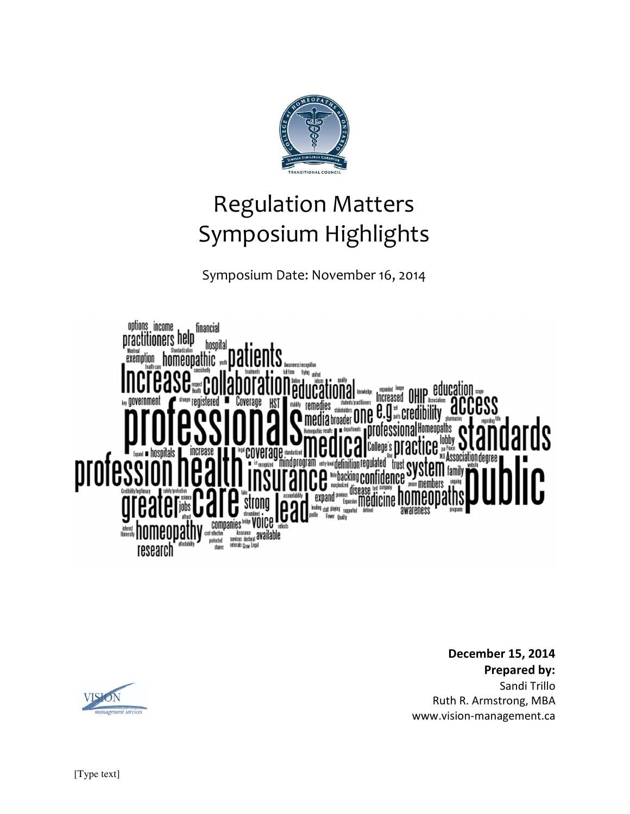

Symposium Date: November 16, 2014



**December 15, 2014 Prepared by:**  Sandi Trillo Ruth R. Armstrong, MBA www.vision-management.ca

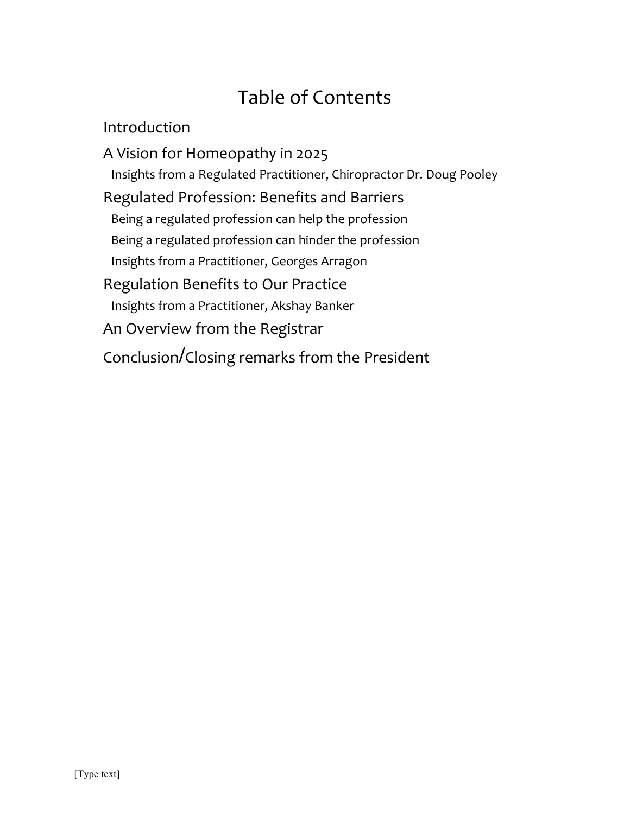# Table of Contents

Introduction

A Vision for Homeopathy in 2025 Insights from a Regulated Practitioner, Chiropractor Dr. Doug Pooley Regulated Profession: Benefits and Barriers Being a regulated profession can help the profession Being a regulated profession can hinder the profession Insights from a Practitioner, Georges Arragon Regulation Benefits to Our Practice Insights from a Practitioner, Akshay Banker An Overview from the Registrar Conclusion/Closing remarks from the President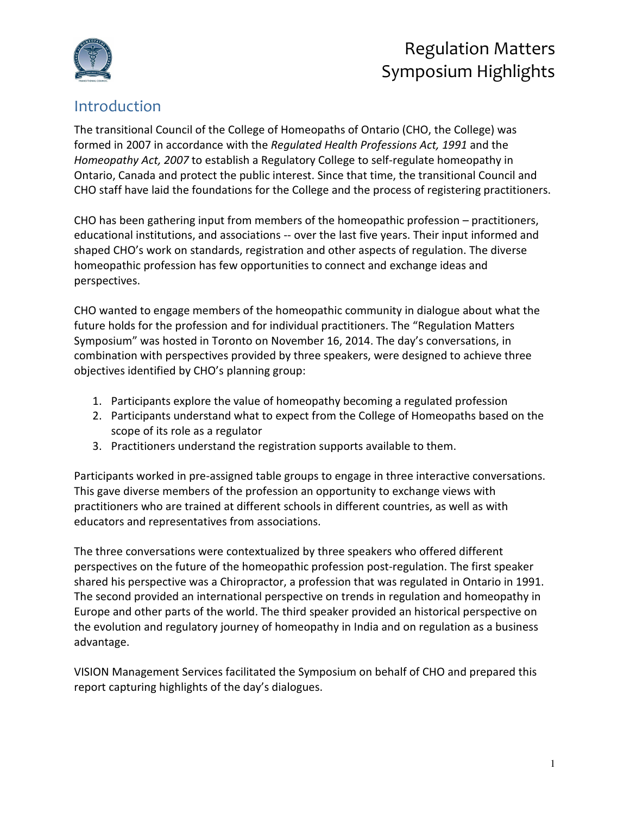

### Introduction

The transitional Council of the College of Homeopaths of Ontario (CHO, the College) was formed in 2007 in accordance with the *Regulated Health Professions Act, 1991* and the *Homeopathy Act, 2007* to establish a Regulatory College to self-regulate homeopathy in Ontario, Canada and protect the public interest. Since that time, the transitional Council and CHO staff have laid the foundations for the College and the process of registering practitioners.

CHO has been gathering input from members of the homeopathic profession – practitioners, educational institutions, and associations -- over the last five years. Their input informed and shaped CHO's work on standards, registration and other aspects of regulation. The diverse homeopathic profession has few opportunities to connect and exchange ideas and perspectives.

CHO wanted to engage members of the homeopathic community in dialogue about what the future holds for the profession and for individual practitioners. The "Regulation Matters Symposium" was hosted in Toronto on November 16, 2014. The day's conversations, in combination with perspectives provided by three speakers, were designed to achieve three objectives identified by CHO's planning group:

- 1. Participants explore the value of homeopathy becoming a regulated profession
- 2. Participants understand what to expect from the College of Homeopaths based on the scope of its role as a regulator
- 3. Practitioners understand the registration supports available to them.

Participants worked in pre-assigned table groups to engage in three interactive conversations. This gave diverse members of the profession an opportunity to exchange views with practitioners who are trained at different schools in different countries, as well as with educators and representatives from associations.

The three conversations were contextualized by three speakers who offered different perspectives on the future of the homeopathic profession post-regulation. The first speaker shared his perspective was a Chiropractor, a profession that was regulated in Ontario in 1991. The second provided an international perspective on trends in regulation and homeopathy in Europe and other parts of the world. The third speaker provided an historical perspective on the evolution and regulatory journey of homeopathy in India and on regulation as a business advantage.

VISION Management Services facilitated the Symposium on behalf of CHO and prepared this report capturing highlights of the day's dialogues.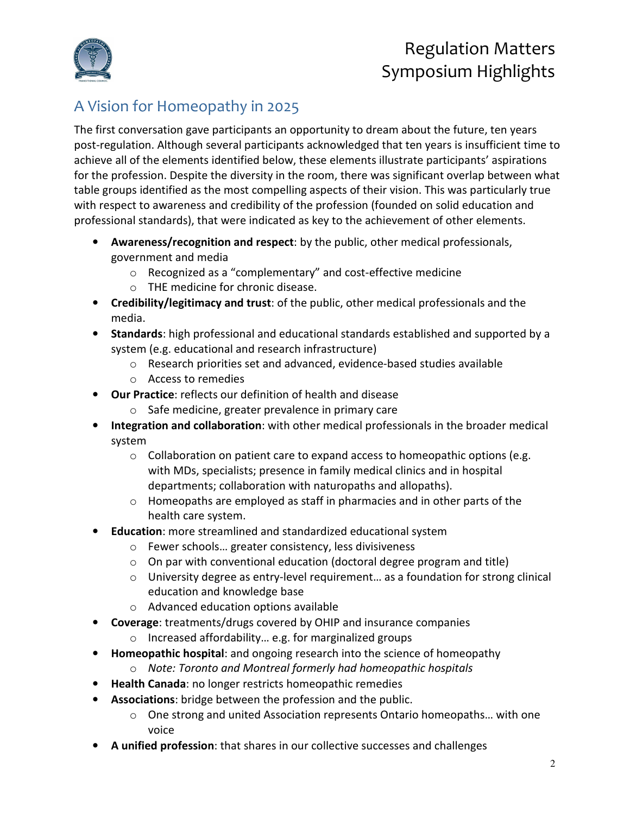

### A Vision for Homeopathy in 2025

The first conversation gave participants an opportunity to dream about the future, ten years post-regulation. Although several participants acknowledged that ten years is insufficient time to achieve all of the elements identified below, these elements illustrate participants' aspirations for the profession. Despite the diversity in the room, there was significant overlap between what table groups identified as the most compelling aspects of their vision. This was particularly true with respect to awareness and credibility of the profession (founded on solid education and professional standards), that were indicated as key to the achievement of other elements.

- **Awareness/recognition and respect**: by the public, other medical professionals, government and media
	- o Recognized as a "complementary" and cost-effective medicine
	- o THE medicine for chronic disease.
- **Credibility/legitimacy and trust**: of the public, other medical professionals and the media.
- **Standards**: high professional and educational standards established and supported by a system (e.g. educational and research infrastructure)
	- o Research priorities set and advanced, evidence-based studies available
	- o Access to remedies
- **Our Practice**: reflects our definition of health and disease
	- o Safe medicine, greater prevalence in primary care
- **Integration and collaboration**: with other medical professionals in the broader medical system
	- $\circ$  Collaboration on patient care to expand access to homeopathic options (e.g. with MDs, specialists; presence in family medical clinics and in hospital departments; collaboration with naturopaths and allopaths).
	- $\circ$  Homeopaths are employed as staff in pharmacies and in other parts of the health care system.
- **Education**: more streamlined and standardized educational system
	- o Fewer schools… greater consistency, less divisiveness
	- $\circ$  On par with conventional education (doctoral degree program and title)
	- o University degree as entry-level requirement… as a foundation for strong clinical education and knowledge base
	- o Advanced education options available
- **Coverage**: treatments/drugs covered by OHIP and insurance companies
	- o Increased affordability… e.g. for marginalized groups
- **Homeopathic hospital**: and ongoing research into the science of homeopathy
	- o *Note: Toronto and Montreal formerly had homeopathic hospitals*
- **Health Canada**: no longer restricts homeopathic remedies
- **Associations**: bridge between the profession and the public.
	- $\circ$  One strong and united Association represents Ontario homeopaths... with one voice
- **A unified profession**: that shares in our collective successes and challenges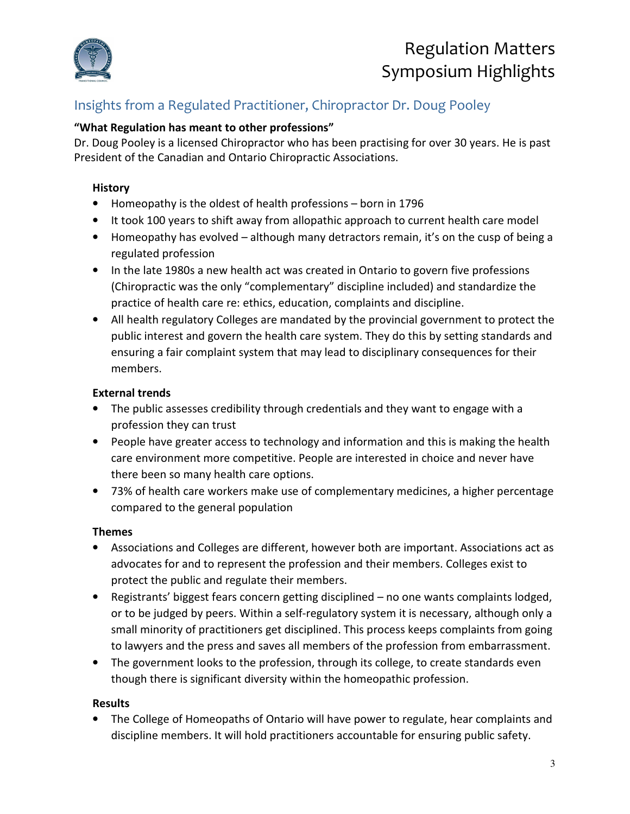

### Insights from a Regulated Practitioner, Chiropractor Dr. Doug Pooley

### **"What Regulation has meant to other professions"**

Dr. Doug Pooley is a licensed Chiropractor who has been practising for over 30 years. He is past President of the Canadian and Ontario Chiropractic Associations.

#### **History**

- Homeopathy is the oldest of health professions born in 1796
- It took 100 years to shift away from allopathic approach to current health care model
- Homeopathy has evolved although many detractors remain, it's on the cusp of being a regulated profession
- In the late 1980s a new health act was created in Ontario to govern five professions (Chiropractic was the only "complementary" discipline included) and standardize the practice of health care re: ethics, education, complaints and discipline.
- All health regulatory Colleges are mandated by the provincial government to protect the public interest and govern the health care system. They do this by setting standards and ensuring a fair complaint system that may lead to disciplinary consequences for their members.

#### **External trends**

- The public assesses credibility through credentials and they want to engage with a profession they can trust
- People have greater access to technology and information and this is making the health care environment more competitive. People are interested in choice and never have there been so many health care options.
- 73% of health care workers make use of complementary medicines, a higher percentage compared to the general population

#### **Themes**

- Associations and Colleges are different, however both are important. Associations act as advocates for and to represent the profession and their members. Colleges exist to protect the public and regulate their members.
- Registrants' biggest fears concern getting disciplined no one wants complaints lodged, or to be judged by peers. Within a self-regulatory system it is necessary, although only a small minority of practitioners get disciplined. This process keeps complaints from going to lawyers and the press and saves all members of the profession from embarrassment.
- The government looks to the profession, through its college, to create standards even though there is significant diversity within the homeopathic profession.

#### **Results**

• The College of Homeopaths of Ontario will have power to regulate, hear complaints and discipline members. It will hold practitioners accountable for ensuring public safety.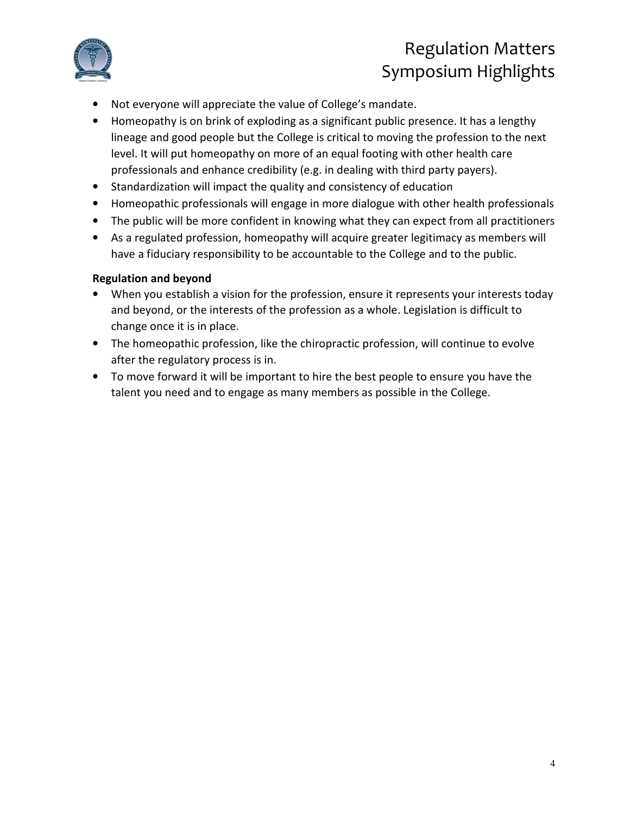

- Not everyone will appreciate the value of College's mandate.
- Homeopathy is on brink of exploding as a significant public presence. It has a lengthy lineage and good people but the College is critical to moving the profession to the next level. It will put homeopathy on more of an equal footing with other health care professionals and enhance credibility (e.g. in dealing with third party payers).
- Standardization will impact the quality and consistency of education
- Homeopathic professionals will engage in more dialogue with other health professionals
- The public will be more confident in knowing what they can expect from all practitioners
- As a regulated profession, homeopathy will acquire greater legitimacy as members will have a fiduciary responsibility to be accountable to the College and to the public.

#### **Regulation and beyond**

- When you establish a vision for the profession, ensure it represents your interests today and beyond, or the interests of the profession as a whole. Legislation is difficult to change once it is in place.
- The homeopathic profession, like the chiropractic profession, will continue to evolve after the regulatory process is in.
- To move forward it will be important to hire the best people to ensure you have the talent you need and to engage as many members as possible in the College.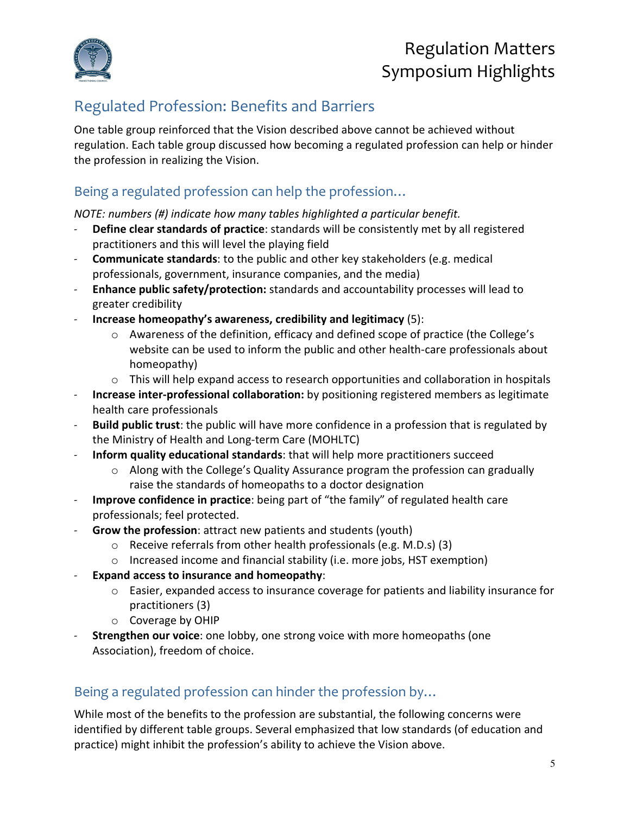

### Regulated Profession: Benefits and Barriers

One table group reinforced that the Vision described above cannot be achieved without regulation. Each table group discussed how becoming a regulated profession can help or hinder the profession in realizing the Vision.

### Being a regulated profession can help the profession…

*NOTE: numbers (#) indicate how many tables highlighted a particular benefit.* 

- **Define clear standards of practice**: standards will be consistently met by all registered practitioners and this will level the playing field
- **Communicate standards**: to the public and other key stakeholders (e.g. medical professionals, government, insurance companies, and the media)
- **Enhance public safety/protection:** standards and accountability processes will lead to greater credibility
- **Increase homeopathy's awareness, credibility and legitimacy** (5):
	- $\circ$  Awareness of the definition, efficacy and defined scope of practice (the College's website can be used to inform the public and other health-care professionals about homeopathy)
	- $\circ$  This will help expand access to research opportunities and collaboration in hospitals
- **Increase inter-professional collaboration:** by positioning registered members as legitimate health care professionals
- **Build public trust**: the public will have more confidence in a profession that is regulated by the Ministry of Health and Long-term Care (MOHLTC)
- **Inform quality educational standards**: that will help more practitioners succeed
	- $\circ$  Along with the College's Quality Assurance program the profession can gradually raise the standards of homeopaths to a doctor designation
- **Improve confidence in practice**: being part of "the family" of regulated health care professionals; feel protected.
- **Grow the profession**: attract new patients and students (youth)
	- o Receive referrals from other health professionals (e.g. M.D.s) (3)
	- o Increased income and financial stability (i.e. more jobs, HST exemption)
- **Expand access to insurance and homeopathy**:
	- $\circ$  Easier, expanded access to insurance coverage for patients and liability insurance for practitioners (3)
	- o Coverage by OHIP
- **Strengthen our voice**: one lobby, one strong voice with more homeopaths (one Association), freedom of choice.

### Being a regulated profession can hinder the profession by…

While most of the benefits to the profession are substantial, the following concerns were identified by different table groups. Several emphasized that low standards (of education and practice) might inhibit the profession's ability to achieve the Vision above.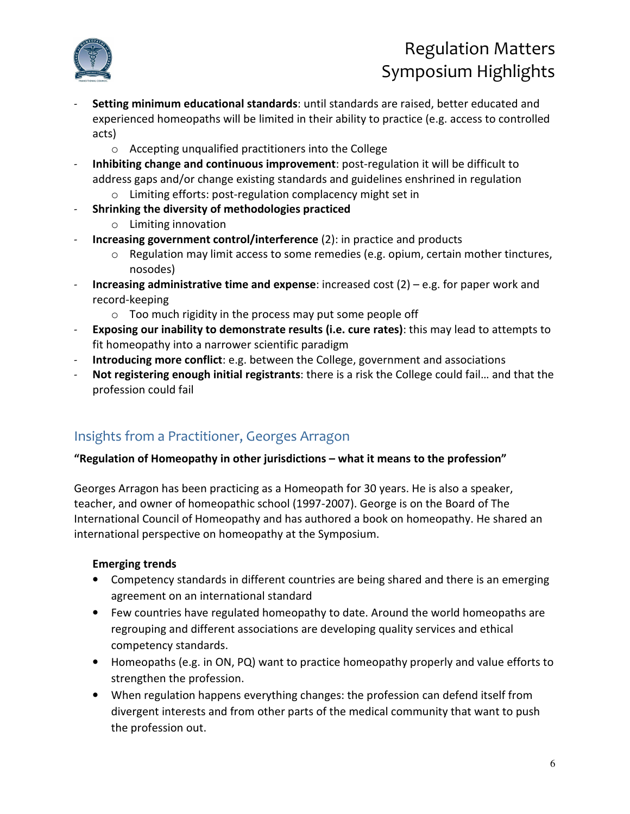

- **Setting minimum educational standards**: until standards are raised, better educated and experienced homeopaths will be limited in their ability to practice (e.g. access to controlled acts)
	- o Accepting unqualified practitioners into the College
- **Inhibiting change and continuous improvement**: post-regulation it will be difficult to address gaps and/or change existing standards and guidelines enshrined in regulation
	- o Limiting efforts: post-regulation complacency might set in
- **Shrinking the diversity of methodologies practiced** 
	- o Limiting innovation
- **Increasing government control/interference** (2): in practice and products
	- o Regulation may limit access to some remedies (e.g. opium, certain mother tinctures, nosodes)
- **Increasing administrative time and expense**: increased cost (2) e.g. for paper work and record-keeping
	- $\circ$  Too much rigidity in the process may put some people off
- **Exposing our inability to demonstrate results (i.e. cure rates)**: this may lead to attempts to fit homeopathy into a narrower scientific paradigm
- **Introducing more conflict**: e.g. between the College, government and associations
- **Not registering enough initial registrants**: there is a risk the College could fail… and that the profession could fail

### Insights from a Practitioner, Georges Arragon

### **"Regulation of Homeopathy in other jurisdictions – what it means to the profession"**

Georges Arragon has been practicing as a Homeopath for 30 years. He is also a speaker, teacher, and owner of homeopathic school (1997-2007). George is on the Board of The International Council of Homeopathy and has authored a book on homeopathy. He shared an international perspective on homeopathy at the Symposium.

### **Emerging trends**

- Competency standards in different countries are being shared and there is an emerging agreement on an international standard
- Few countries have regulated homeopathy to date. Around the world homeopaths are regrouping and different associations are developing quality services and ethical competency standards.
- Homeopaths (e.g. in ON, PQ) want to practice homeopathy properly and value efforts to strengthen the profession.
- When regulation happens everything changes: the profession can defend itself from divergent interests and from other parts of the medical community that want to push the profession out.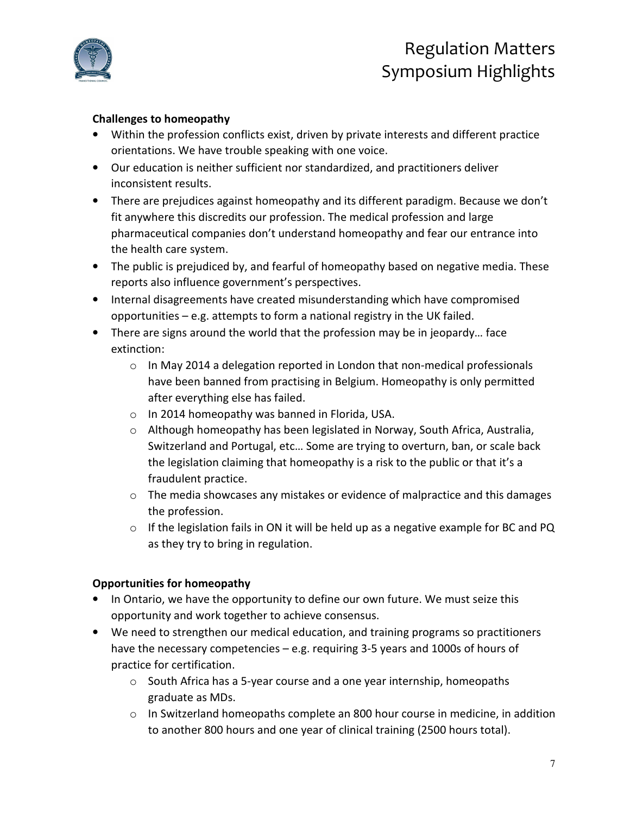

#### **Challenges to homeopathy**

- Within the profession conflicts exist, driven by private interests and different practice orientations. We have trouble speaking with one voice.
- Our education is neither sufficient nor standardized, and practitioners deliver inconsistent results.
- There are prejudices against homeopathy and its different paradigm. Because we don't fit anywhere this discredits our profession. The medical profession and large pharmaceutical companies don't understand homeopathy and fear our entrance into the health care system.
- The public is prejudiced by, and fearful of homeopathy based on negative media. These reports also influence government's perspectives.
- Internal disagreements have created misunderstanding which have compromised opportunities – e.g. attempts to form a national registry in the UK failed.
- There are signs around the world that the profession may be in jeopardy… face extinction:
	- $\circ$  In May 2014 a delegation reported in London that non-medical professionals have been banned from practising in Belgium. Homeopathy is only permitted after everything else has failed.
	- o In 2014 homeopathy was banned in Florida, USA.
	- $\circ$  Although homeopathy has been legislated in Norway, South Africa, Australia, Switzerland and Portugal, etc… Some are trying to overturn, ban, or scale back the legislation claiming that homeopathy is a risk to the public or that it's a fraudulent practice.
	- o The media showcases any mistakes or evidence of malpractice and this damages the profession.
	- $\circ$  If the legislation fails in ON it will be held up as a negative example for BC and PQ as they try to bring in regulation.

#### **Opportunities for homeopathy**

- In Ontario, we have the opportunity to define our own future. We must seize this opportunity and work together to achieve consensus.
- We need to strengthen our medical education, and training programs so practitioners have the necessary competencies – e.g. requiring 3-5 years and 1000s of hours of practice for certification.
	- o South Africa has a 5-year course and a one year internship, homeopaths graduate as MDs.
	- $\circ$  In Switzerland homeopaths complete an 800 hour course in medicine, in addition to another 800 hours and one year of clinical training (2500 hours total).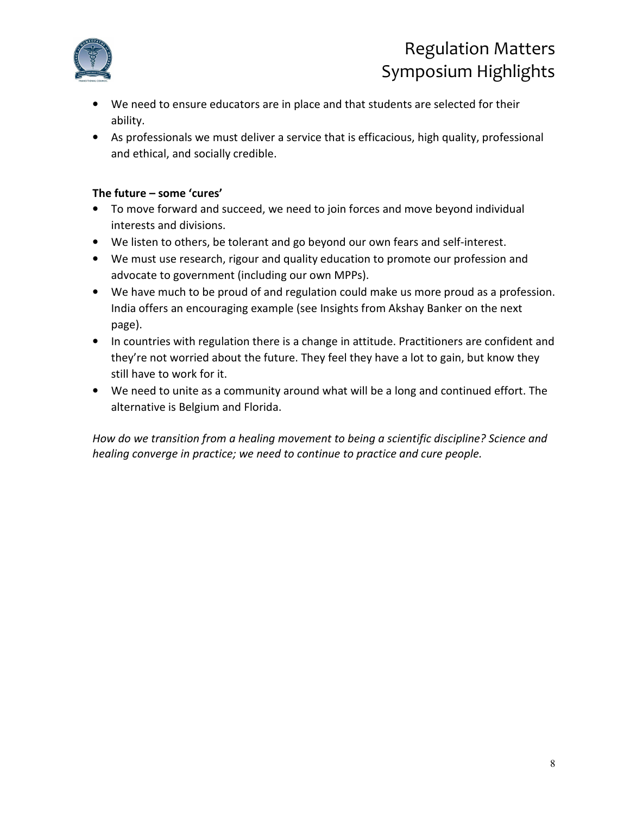

- We need to ensure educators are in place and that students are selected for their ability.
- As professionals we must deliver a service that is efficacious, high quality, professional and ethical, and socially credible.

#### **The future – some 'cures'**

- To move forward and succeed, we need to join forces and move beyond individual interests and divisions.
- We listen to others, be tolerant and go beyond our own fears and self-interest.
- We must use research, rigour and quality education to promote our profession and advocate to government (including our own MPPs).
- We have much to be proud of and regulation could make us more proud as a profession. India offers an encouraging example (see Insights from Akshay Banker on the next page).
- In countries with regulation there is a change in attitude. Practitioners are confident and they're not worried about the future. They feel they have a lot to gain, but know they still have to work for it.
- We need to unite as a community around what will be a long and continued effort. The alternative is Belgium and Florida.

*How do we transition from a healing movement to being a scientific discipline? Science and healing converge in practice; we need to continue to practice and cure people.*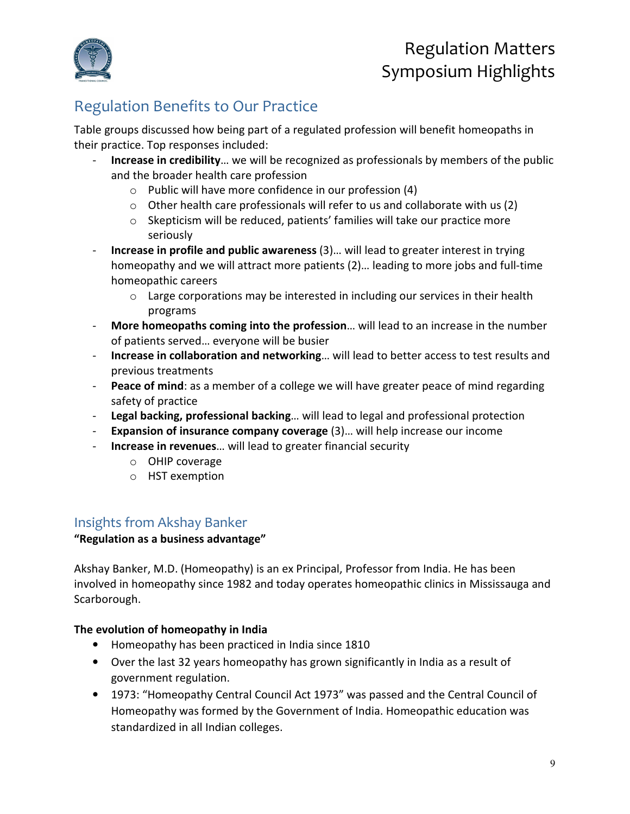

### Regulation Benefits to Our Practice

Table groups discussed how being part of a regulated profession will benefit homeopaths in their practice. Top responses included:

- **Increase in credibility**… we will be recognized as professionals by members of the public and the broader health care profession
	- o Public will have more confidence in our profession (4)
	- $\circ$  Other health care professionals will refer to us and collaborate with us (2)
	- o Skepticism will be reduced, patients' families will take our practice more seriously
- **Increase in profile and public awareness** (3)… will lead to greater interest in trying homeopathy and we will attract more patients (2)… leading to more jobs and full-time homeopathic careers
	- $\circ$  Large corporations may be interested in including our services in their health programs
- **More homeopaths coming into the profession**… will lead to an increase in the number of patients served… everyone will be busier
- **Increase in collaboration and networking**… will lead to better access to test results and previous treatments
- **Peace of mind**: as a member of a college we will have greater peace of mind regarding safety of practice
- **Legal backing, professional backing**… will lead to legal and professional protection
- **Expansion of insurance company coverage** (3)… will help increase our income
- **Increase in revenues**… will lead to greater financial security
	- o OHIP coverage
	- o HST exemption

### Insights from Akshay Banker

#### **"Regulation as a business advantage"**

Akshay Banker, M.D. (Homeopathy) is an ex Principal, Professor from India. He has been involved in homeopathy since 1982 and today operates homeopathic clinics in Mississauga and Scarborough.

#### **The evolution of homeopathy in India**

- Homeopathy has been practiced in India since 1810
- Over the last 32 years homeopathy has grown significantly in India as a result of government regulation.
- 1973: "Homeopathy Central Council Act 1973" was passed and the Central Council of Homeopathy was formed by the Government of India. Homeopathic education was standardized in all Indian colleges.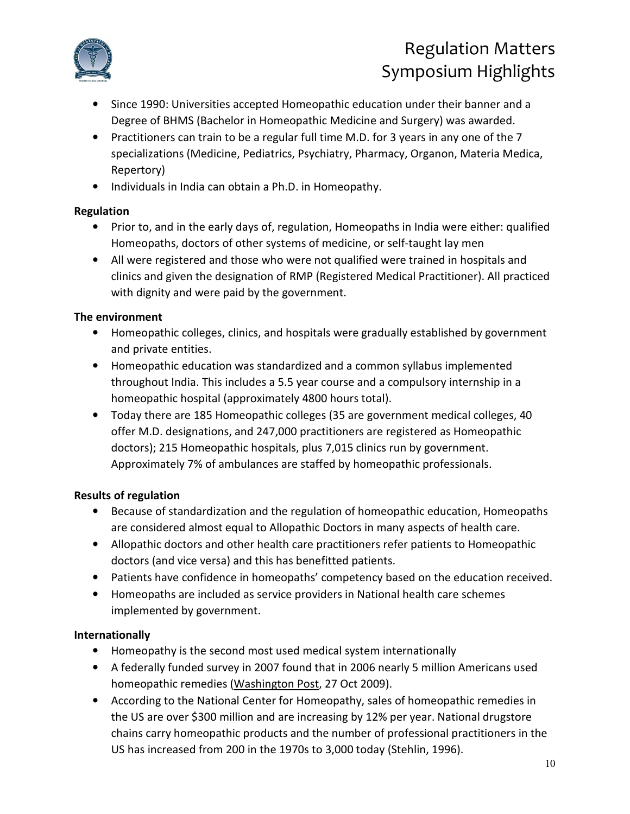

- Since 1990: Universities accepted Homeopathic education under their banner and a Degree of BHMS (Bachelor in Homeopathic Medicine and Surgery) was awarded.
- Practitioners can train to be a regular full time M.D. for 3 years in any one of the 7 specializations (Medicine, Pediatrics, Psychiatry, Pharmacy, Organon, Materia Medica, Repertory)
- Individuals in India can obtain a Ph.D. in Homeopathy.

### **Regulation**

- Prior to, and in the early days of, regulation, Homeopaths in India were either: qualified Homeopaths, doctors of other systems of medicine, or self-taught lay men
- All were registered and those who were not qualified were trained in hospitals and clinics and given the designation of RMP (Registered Medical Practitioner). All practiced with dignity and were paid by the government.

### **The environment**

- Homeopathic colleges, clinics, and hospitals were gradually established by government and private entities.
- Homeopathic education was standardized and a common syllabus implemented throughout India. This includes a 5.5 year course and a compulsory internship in a homeopathic hospital (approximately 4800 hours total).
- Today there are 185 Homeopathic colleges (35 are government medical colleges, 40 offer M.D. designations, and 247,000 practitioners are registered as Homeopathic doctors); 215 Homeopathic hospitals, plus 7,015 clinics run by government. Approximately 7% of ambulances are staffed by homeopathic professionals.

### **Results of regulation**

- Because of standardization and the regulation of homeopathic education, Homeopaths are considered almost equal to Allopathic Doctors in many aspects of health care.
- Allopathic doctors and other health care practitioners refer patients to Homeopathic doctors (and vice versa) and this has benefitted patients.
- Patients have confidence in homeopaths' competency based on the education received.
- Homeopaths are included as service providers in National health care schemes implemented by government.

### **Internationally**

- Homeopathy is the second most used medical system internationally
- A federally funded survey in 2007 found that in 2006 nearly 5 million Americans used homeopathic remedies (Washington Post, 27 Oct 2009).
- According to the National Center for Homeopathy, sales of homeopathic remedies in the US are over \$300 million and are increasing by 12% per year. National drugstore chains carry homeopathic products and the number of professional practitioners in the US has increased from 200 in the 1970s to 3,000 today (Stehlin, 1996).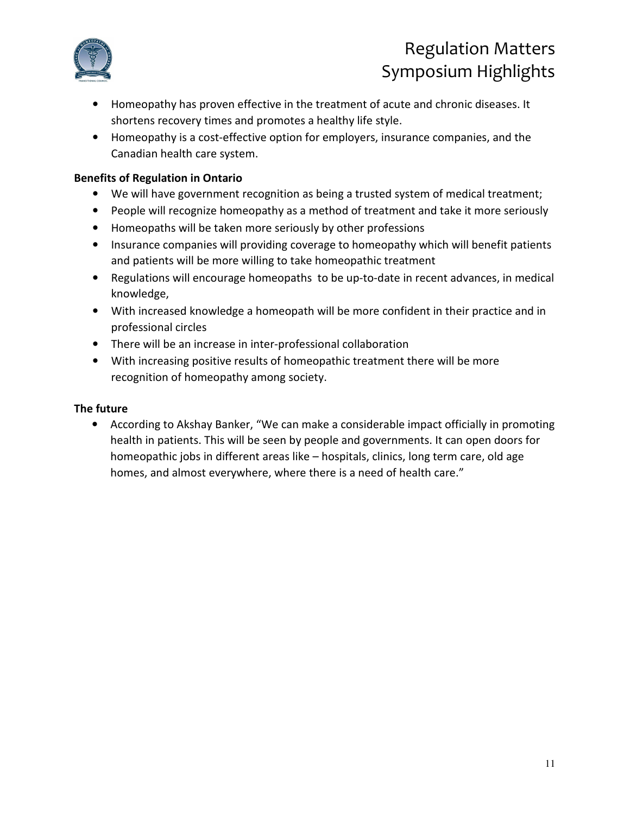

- Homeopathy has proven effective in the treatment of acute and chronic diseases. It shortens recovery times and promotes a healthy life style.
- Homeopathy is a cost-effective option for employers, insurance companies, and the Canadian health care system.

#### **Benefits of Regulation in Ontario**

- We will have government recognition as being a trusted system of medical treatment;
- People will recognize homeopathy as a method of treatment and take it more seriously
- Homeopaths will be taken more seriously by other professions
- Insurance companies will providing coverage to homeopathy which will benefit patients and patients will be more willing to take homeopathic treatment
- Regulations will encourage homeopaths to be up-to-date in recent advances, in medical knowledge,
- With increased knowledge a homeopath will be more confident in their practice and in professional circles
- There will be an increase in inter-professional collaboration
- With increasing positive results of homeopathic treatment there will be more recognition of homeopathy among society.

#### **The future**

• According to Akshay Banker, "We can make a considerable impact officially in promoting health in patients. This will be seen by people and governments. It can open doors for homeopathic jobs in different areas like – hospitals, clinics, long term care, old age homes, and almost everywhere, where there is a need of health care."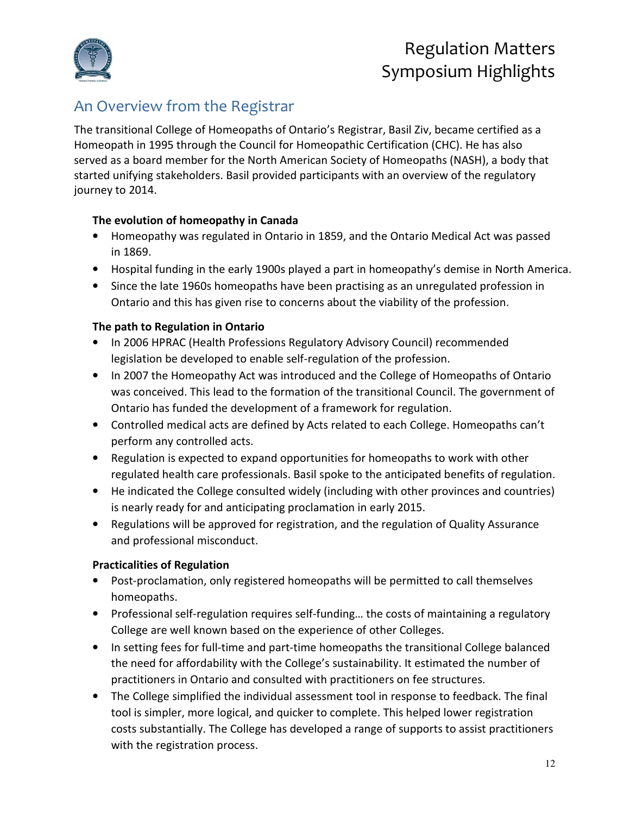

### An Overview from the Registrar

The transitional College of Homeopaths of Ontario's Registrar, Basil Ziv, became certified as a Homeopath in 1995 through the Council for Homeopathic Certification (CHC). He has also served as a board member for the North American Society of Homeopaths (NASH), a body that started unifying stakeholders. Basil provided participants with an overview of the regulatory journey to 2014.

#### **The evolution of homeopathy in Canada**

- Homeopathy was regulated in Ontario in 1859, and the Ontario Medical Act was passed in 1869.
- Hospital funding in the early 1900s played a part in homeopathy's demise in North America.
- Since the late 1960s homeopaths have been practising as an unregulated profession in Ontario and this has given rise to concerns about the viability of the profession.

#### **The path to Regulation in Ontario**

- In 2006 HPRAC (Health Professions Regulatory Advisory Council) recommended legislation be developed to enable self-regulation of the profession.
- In 2007 the Homeopathy Act was introduced and the College of Homeopaths of Ontario was conceived. This lead to the formation of the transitional Council. The government of Ontario has funded the development of a framework for regulation.
- Controlled medical acts are defined by Acts related to each College. Homeopaths can't perform any controlled acts.
- Regulation is expected to expand opportunities for homeopaths to work with other regulated health care professionals. Basil spoke to the anticipated benefits of regulation.
- He indicated the College consulted widely (including with other provinces and countries) is nearly ready for and anticipating proclamation in early 2015.
- Regulations will be approved for registration, and the regulation of Quality Assurance and professional misconduct.

### **Practicalities of Regulation**

- Post-proclamation, only registered homeopaths will be permitted to call themselves homeopaths.
- Professional self-regulation requires self-funding... the costs of maintaining a regulatory College are well known based on the experience of other Colleges.
- In setting fees for full-time and part-time homeopaths the transitional College balanced the need for affordability with the College's sustainability. It estimated the number of practitioners in Ontario and consulted with practitioners on fee structures.
- The College simplified the individual assessment tool in response to feedback. The final tool is simpler, more logical, and quicker to complete. This helped lower registration costs substantially. The College has developed a range of supports to assist practitioners with the registration process.